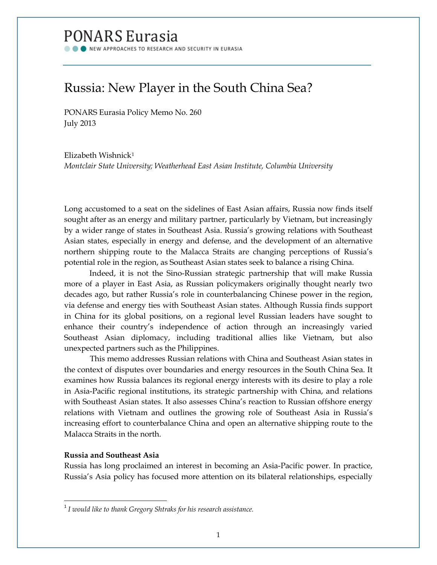# **PONARS Eurasia**

NEW APPROACHES TO RESEARCH AND SECURITY IN EURASIA

# Russia: New Player in the South China Sea?

PONARS Eurasia Policy Memo No. 260 July 2013

Elizabeth Wishnick[1](#page-0-0) *Montclair State University; Weatherhead East Asian Institute, Columbia University*

Long accustomed to a seat on the sidelines of East Asian affairs, Russia now finds itself sought after as an energy and military partner, particularly by Vietnam, but increasingly by a wider range of states in Southeast Asia. Russia's growing relations with Southeast Asian states, especially in energy and defense, and the development of an alternative northern shipping route to the Malacca Straits are changing perceptions of Russia's potential role in the region, as Southeast Asian states seek to balance a rising China.

Indeed, it is not the Sino-Russian strategic partnership that will make Russia more of a player in East Asia, as Russian policymakers originally thought nearly two decades ago, but rather Russia's role in counterbalancing Chinese power in the region, via defense and energy ties with Southeast Asian states. Although Russia finds support in China for its global positions, on a regional level Russian leaders have sought to enhance their country's independence of action through an increasingly varied Southeast Asian diplomacy, including traditional allies like Vietnam, but also unexpected partners such as the Philippines.

This memo addresses Russian relations with China and Southeast Asian states in the context of disputes over boundaries and energy resources in the South China Sea. It examines how Russia balances its regional energy interests with its desire to play a role in Asia-Pacific regional institutions, its strategic partnership with China, and relations with Southeast Asian states. It also assesses China's reaction to Russian offshore energy relations with Vietnam and outlines the growing role of Southeast Asia in Russia's increasing effort to counterbalance China and open an alternative shipping route to the Malacca Straits in the north.

## **Russia and Southeast Asia**

Russia has long proclaimed an interest in becoming an Asia-Pacific power. In practice, Russia's Asia policy has focused more attention on its bilateral relationships, especially

<span id="page-0-0"></span> <sup>1</sup> *I would like to thank Gregory Shtraks for his research assistance.*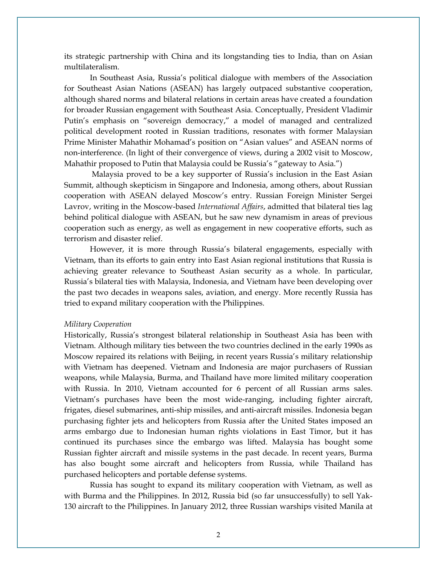its strategic partnership with China and its longstanding ties to India, than on Asian multilateralism.

In Southeast Asia, Russia's political dialogue with members of the Association for Southeast Asian Nations (ASEAN) has largely outpaced substantive cooperation, although shared norms and bilateral relations in certain areas have created a foundation for broader Russian engagement with Southeast Asia. Conceptually, President Vladimir Putin's emphasis on "sovereign democracy," a model of managed and centralized political development rooted in Russian traditions, resonates with former Malaysian Prime Minister Mahathir Mohamad's position on "Asian values" and ASEAN norms of non-interference. (In light of their convergence of views, during a 2002 visit to Moscow, Mahathir proposed to Putin that Malaysia could be Russia's "gateway to Asia.")

Malaysia proved to be a key supporter of Russia's inclusion in the East Asian Summit, although skepticism in Singapore and Indonesia, among others, about Russian cooperation with ASEAN delayed Moscow's entry. Russian Foreign Minister Sergei Lavrov, writing in the Moscow-based *International Affairs*, admitted that bilateral ties lag behind political dialogue with ASEAN, but he saw new dynamism in areas of previous cooperation such as energy, as well as engagement in new cooperative efforts, such as terrorism and disaster relief.

However, it is more through Russia's bilateral engagements, especially with Vietnam, than its efforts to gain entry into East Asian regional institutions that Russia is achieving greater relevance to Southeast Asian security as a whole. In particular, Russia's bilateral ties with Malaysia, Indonesia, and Vietnam have been developing over the past two decades in weapons sales, aviation, and energy. More recently Russia has tried to expand military cooperation with the Philippines.

#### *Military Cooperation*

Historically, Russia's strongest bilateral relationship in Southeast Asia has been with Vietnam. Although military ties between the two countries declined in the early 1990s as Moscow repaired its relations with Beijing, in recent years Russia's military relationship with Vietnam has deepened. Vietnam and Indonesia are major purchasers of Russian weapons, while Malaysia, Burma, and Thailand have more limited military cooperation with Russia. In 2010, Vietnam accounted for 6 percent of all Russian arms sales. Vietnam's purchases have been the most wide-ranging, including fighter aircraft, frigates, diesel submarines, anti-ship missiles, and anti-aircraft missiles. Indonesia began purchasing fighter jets and helicopters from Russia after the United States imposed an arms embargo due to Indonesian human rights violations in East Timor, but it has continued its purchases since the embargo was lifted. Malaysia has bought some Russian fighter aircraft and missile systems in the past decade. In recent years, Burma has also bought some aircraft and helicopters from Russia, while Thailand has purchased helicopters and portable defense systems.

Russia has sought to expand its military cooperation with Vietnam, as well as with Burma and the Philippines. In 2012, Russia bid (so far unsuccessfully) to sell Yak-130 aircraft to the Philippines. In January 2012, three Russian warships visited Manila at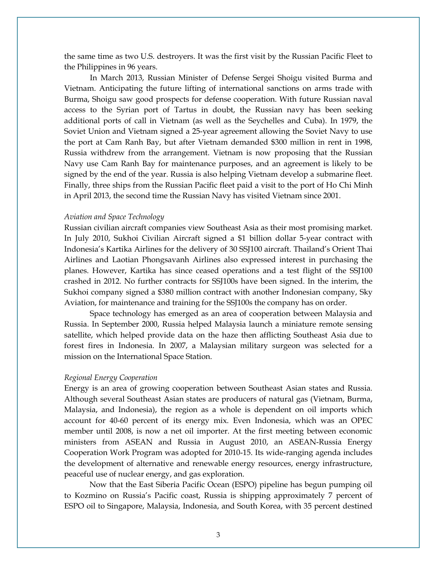the same time as two U.S. destroyers. It was the first visit by the Russian Pacific Fleet to the Philippines in 96 years.

In March 2013, Russian Minister of Defense Sergei Shoigu visited Burma and Vietnam. Anticipating the future lifting of international sanctions on arms trade with Burma, Shoigu saw good prospects for defense cooperation. With future Russian naval access to the Syrian port of Tartus in doubt, the Russian navy has been seeking additional ports of call in Vietnam (as well as the Seychelles and Cuba). In 1979, the Soviet Union and Vietnam signed a 25-year agreement allowing the Soviet Navy to use the port at Cam Ranh Bay, but after Vietnam demanded \$300 million in rent in 1998, Russia withdrew from the arrangement. Vietnam is now proposing that the Russian Navy use Cam Ranh Bay for maintenance purposes, and an agreement is likely to be signed by the end of the year. Russia is also helping Vietnam develop a submarine fleet. Finally, three ships from the Russian Pacific fleet paid a visit to the port of Ho Chi Minh in April 2013, the second time the Russian Navy has visited Vietnam since 2001.

#### *Aviation and Space Technology*

Russian civilian aircraft companies view Southeast Asia as their most promising market. In July 2010, Sukhoi Civilian Aircraft signed a \$1 billion dollar 5-year contract with Indonesia's Kartika Airlines for the delivery of 30 SSJ100 aircraft. Thailand's Orient Thai Airlines and Laotian Phongsavanh Airlines also expressed interest in purchasing the planes. However, Kartika has since ceased operations and a test flight of the SSJ100 crashed in 2012. No further contracts for SSJ100s have been signed. In the interim, the Sukhoi company signed a \$380 million contract with another Indonesian company, Sky Aviation, for maintenance and training for the SSJ100s the company has on order.

Space technology has emerged as an area of cooperation between Malaysia and Russia. In September 2000, Russia helped Malaysia launch a miniature remote sensing satellite, which helped provide data on the haze then afflicting Southeast Asia due to forest fires in Indonesia. In 2007, a Malaysian military surgeon was selected for a mission on the International Space Station.

#### *Regional Energy Cooperation*

Energy is an area of growing cooperation between Southeast Asian states and Russia. Although several Southeast Asian states are producers of natural gas (Vietnam, Burma, Malaysia, and Indonesia), the region as a whole is dependent on oil imports which account for 40-60 percent of its energy mix. Even Indonesia, which was an OPEC member until 2008, is now a net oil importer. At the first meeting between economic ministers from ASEAN and Russia in August 2010, an ASEAN-Russia Energy Cooperation Work Program was adopted for 2010-15. Its wide-ranging agenda includes the development of alternative and renewable energy resources, energy infrastructure, peaceful use of nuclear energy, and gas exploration.

Now that the East Siberia Pacific Ocean (ESPO) pipeline has begun pumping oil to Kozmino on Russia's Pacific coast, Russia is shipping approximately 7 percent of ESPO oil to Singapore, Malaysia, Indonesia, and South Korea, with 35 percent destined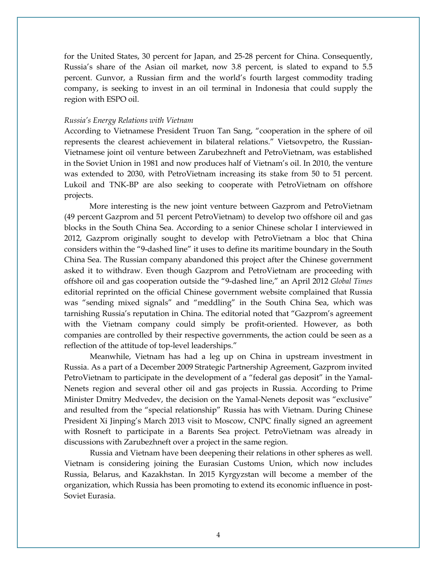for the United States, 30 percent for Japan, and 25-28 percent for China. Consequently, Russia's share of the Asian oil market, now 3.8 percent, is slated to expand to 5.5 percent. Gunvor, a Russian firm and the world's fourth largest commodity trading company, is seeking to invest in an oil terminal in Indonesia that could supply the region with ESPO oil.

#### *Russia's Energy Relations with Vietnam*

According to Vietnamese President Truon Tan Sang, "cooperation in the sphere of oil represents the clearest achievement in bilateral relations." Vietsovpetro, the Russian-Vietnamese joint oil venture between Zarubezhneft and PetroVietnam, was established in the Soviet Union in 1981 and now produces half of Vietnam's oil. In 2010, the venture was extended to 2030, with PetroVietnam increasing its stake from 50 to 51 percent. Lukoil and TNK-BP are also seeking to cooperate with PetroVietnam on offshore projects.

More interesting is the new joint venture between Gazprom and PetroVietnam (49 percent Gazprom and 51 percent PetroVietnam) to develop two offshore oil and gas blocks in the South China Sea. According to a senior Chinese scholar I interviewed in 2012, Gazprom originally sought to develop with PetroVietnam a bloc that China considers within the "9-dashed line" it uses to define its maritime boundary in the South China Sea. The Russian company abandoned this project after the Chinese government asked it to withdraw. Even though Gazprom and PetroVietnam are proceeding with offshore oil and gas cooperation outside the "9-dashed line," an April 2012 *Global Times* editorial reprinted on the official Chinese government website complained that Russia was "sending mixed signals" and "meddling" in the South China Sea, which was tarnishing Russia's reputation in China. The editorial noted that "Gazprom's agreement with the Vietnam company could simply be profit-oriented. However, as both companies are controlled by their respective governments, the action could be seen as a reflection of the attitude of top-level leaderships."

Meanwhile, Vietnam has had a leg up on China in upstream investment in Russia. As a part of a December 2009 Strategic Partnership Agreement, Gazprom invited PetroVietnam to participate in the development of a "federal gas deposit" in the Yamal-Nenets region and several other oil and gas projects in Russia. According to Prime Minister Dmitry Medvedev, the decision on the Yamal-Nenets deposit was "exclusive" and resulted from the "special relationship" Russia has with Vietnam. During Chinese President Xi Jinping's March 2013 visit to Moscow, CNPC finally signed an agreement with Rosneft to participate in a Barents Sea project. PetroVietnam was already in discussions with Zarubezhneft over a project in the same region.

Russia and Vietnam have been deepening their relations in other spheres as well. Vietnam is considering joining the Eurasian Customs Union, which now includes Russia, Belarus, and Kazakhstan. In 2015 Kyrgyzstan will become a member of the organization, which Russia has been promoting to extend its economic influence in post-Soviet Eurasia.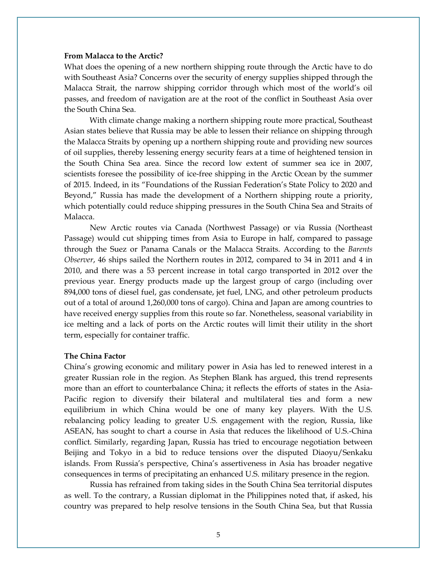#### **From Malacca to the Arctic?**

What does the opening of a new northern shipping route through the Arctic have to do with Southeast Asia? Concerns over the security of energy supplies shipped through the Malacca Strait, the narrow shipping corridor through which most of the world's oil passes, and freedom of navigation are at the root of the conflict in Southeast Asia over the South China Sea.

With climate change making a northern shipping route more practical, Southeast Asian states believe that Russia may be able to lessen their reliance on shipping through the Malacca Straits by opening up a northern shipping route and providing new sources of oil supplies, thereby lessening energy security fears at a time of heightened tension in the South China Sea area. Since the record low extent of summer sea ice in 2007, scientists foresee the possibility of ice-free shipping in the Arctic Ocean by the summer of 2015. Indeed, in its "Foundations of the Russian Federation's State Policy to 2020 and Beyond," Russia has made the development of a Northern shipping route a priority, which potentially could reduce shipping pressures in the South China Sea and Straits of Malacca.

New Arctic routes via Canada (Northwest Passage) or via Russia (Northeast Passage) would cut shipping times from Asia to Europe in half, compared to passage through the Suez or Panama Canals or the Malacca Straits. According to the *Barents Observer*, 46 ships sailed the Northern routes in 2012, compared to 34 in 2011 and 4 in 2010, and there was a 53 percent increase in total cargo transported in 2012 over the previous year. Energy products made up the largest group of cargo (including over 894,000 tons of diesel fuel, gas condensate, jet fuel, LNG, and other petroleum products out of a total of around 1,260,000 tons of cargo). China and Japan are among countries to have received energy supplies from this route so far. Nonetheless, seasonal variability in ice melting and a lack of ports on the Arctic routes will limit their utility in the short term, especially for container traffic.

### **The China Factor**

China's growing economic and military power in Asia has led to renewed interest in a greater Russian role in the region. As Stephen Blank has argued, this trend represents more than an effort to counterbalance China; it reflects the efforts of states in the Asia-Pacific region to diversify their bilateral and multilateral ties and form a new equilibrium in which China would be one of many key players. With the U.S. rebalancing policy leading to greater U.S. engagement with the region, Russia, like ASEAN, has sought to chart a course in Asia that reduces the likelihood of U.S.-China conflict. Similarly, regarding Japan, Russia has tried to encourage negotiation between Beijing and Tokyo in a bid to reduce tensions over the disputed Diaoyu/Senkaku islands. From Russia's perspective, China's assertiveness in Asia has broader negative consequences in terms of precipitating an enhanced U.S. military presence in the region.

Russia has refrained from taking sides in the South China Sea territorial disputes as well. To the contrary, a Russian diplomat in the Philippines noted that, if asked, his country was prepared to help resolve tensions in the South China Sea, but that Russia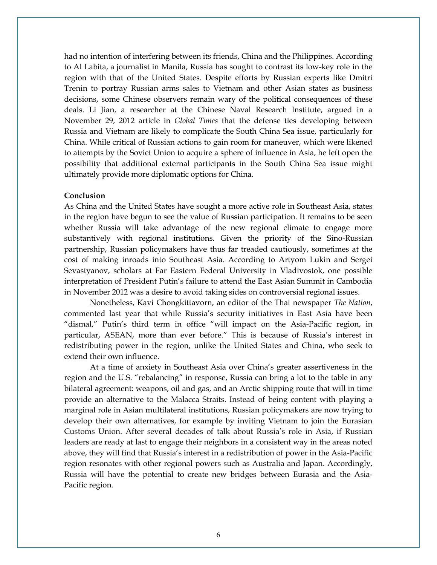had no intention of interfering between its friends, China and the Philippines. According to Al Labita, a journalist in Manila, Russia has sought to contrast its low-key role in the region with that of the United States. Despite efforts by Russian experts like Dmitri Trenin to portray Russian arms sales to Vietnam and other Asian states as business decisions, some Chinese observers remain wary of the political consequences of these deals. Li Jian, a researcher at the Chinese Naval Research Institute, argued in a November 29, 2012 article in *Global Times* that the defense ties developing between Russia and Vietnam are likely to complicate the South China Sea issue, particularly for China. While critical of Russian actions to gain room for maneuver, which were likened to attempts by the Soviet Union to acquire a sphere of influence in Asia, he left open the possibility that additional external participants in the South China Sea issue might ultimately provide more diplomatic options for China.

#### **Conclusion**

As China and the United States have sought a more active role in Southeast Asia, states in the region have begun to see the value of Russian participation. It remains to be seen whether Russia will take advantage of the new regional climate to engage more substantively with regional institutions. Given the priority of the Sino-Russian partnership, Russian policymakers have thus far treaded cautiously, sometimes at the cost of making inroads into Southeast Asia. According to Artyom Lukin and Sergei Sevastyanov, scholars at Far Eastern Federal University in Vladivostok, one possible interpretation of President Putin's failure to attend the East Asian Summit in Cambodia in November 2012 was a desire to avoid taking sides on controversial regional issues.

Nonetheless, Kavi Chongkittavorn, an editor of the Thai newspaper *The Nation*, commented last year that while Russia's security initiatives in East Asia have been "dismal," Putin's third term in office "will impact on the Asia-Pacific region, in particular, ASEAN, more than ever before." This is because of Russia's interest in redistributing power in the region, unlike the United States and China, who seek to extend their own influence.

At a time of anxiety in Southeast Asia over China's greater assertiveness in the region and the U.S. "rebalancing" in response, Russia can bring a lot to the table in any bilateral agreement: weapons, oil and gas, and an Arctic shipping route that will in time provide an alternative to the Malacca Straits. Instead of being content with playing a marginal role in Asian multilateral institutions, Russian policymakers are now trying to develop their own alternatives, for example by inviting Vietnam to join the Eurasian Customs Union. After several decades of talk about Russia's role in Asia, if Russian leaders are ready at last to engage their neighbors in a consistent way in the areas noted above, they will find that Russia's interest in a redistribution of power in the Asia-Pacific region resonates with other regional powers such as Australia and Japan. Accordingly, Russia will have the potential to create new bridges between Eurasia and the Asia-Pacific region.